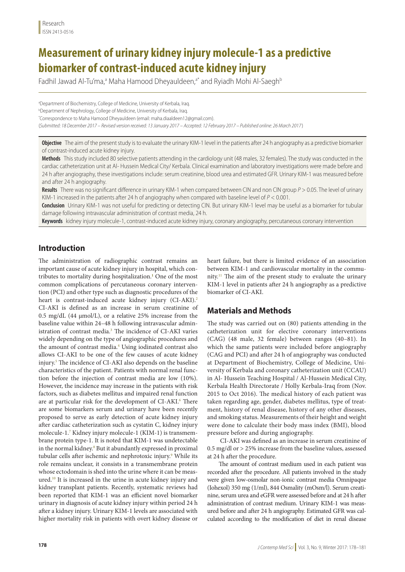# **Measurement of urinary kidney injury molecule-1 as a predictive biomarker of contrast-induced acute kidney injury**

Fadhil Jawad Al-Tu'ma,ª Maha Hamood Dheyauldeen,ª\* and Ryiadh Mohi Al-Saegh<sup>ь</sup>

a Department of Biochemistry, College of Medicine, University of Kerbala, Iraq. b Department of Nephrology, College of Medicine, University of Kerbala, Iraq. \* Correspondence to Maha Hamood Dheyauldeen (email: [maha.diaaldeen12@gmail.com\)](mailto:maha.diaaldeen12@gmail.com). (*Submitted: 18 December 2017 – Revised version received: 13 January 2017 – Accepted: 12 February 2017 – Published online: 26 March 2017* )

**Objective** The aim of the present study is to evaluate the urinary KIM-1 level in the patients after 24 h angiography as a predictive biomarker of contrast-induced acute kidney injury.

**Methods** This study included 80 selective patients attending in the cardiology unit (48 males, 32 females). The study was conducted in the cardiac catheterization unit at Al- Hussein Medical City/ Kerbala. Clinical examination and laboratory investigations were made before and 24 h after angiography, these investigations include: serum creatinine, blood urea and estimated GFR. Urinary KIM-1 was measured before and after 24 h angiography.

**Results** There was no significant difference in urinary KIM-1 when compared between CIN and non CIN group *P* > 0.05. The level of urinary KIM-1 increased in the patients after 24 h of angiography when compared with baseline level of *P* < 0.001.

**Conclusion** Urinary KIM-1 was not useful for predicting or detecting CIN. But urinary KIM-1 level may be useful as a biomarker for tubular damage following intravascular administration of contrast media, 24 h.

**Keywords** kidney injury molecule-1, contrast-induced acute kidney injury, coronary angiography, percutaneous coronary intervention

## **Introduction**

The administration of radiographic contrast remains an important cause of acute kidney injury in hospital, which contributes to mortality during hospitalization.**<sup>1</sup>** One of the most common complications of percutaneous coronary intervention (PCI) and other type such as diagnostic procedures of the heart is contrast-induced acute kidney injury (CI-AKI).<sup>2</sup> CI-AKI is defined as an increase in serum creatinine of 0.5 mg/dL (44 μmol/L), or a relative 25% increase from the baseline value within 24–48 h following intravascular administration of contrast media.<sup>3</sup> The incidence of CI-AKI varies widely depending on the type of angiographic procedures and the amount of contrast media.<sup>4</sup> Using iodinated contrast also allows CI-AKI to be one of the few causes of acute kidney injury.5 The incidence of CI-AKI also depends on the baseline characteristics of the patient. Patients with normal renal function before the injection of contrast media are low (10%). However, the incidence may increase in the patients with risk factors, such as diabetes mellitus and impaired renal function are at particular risk for the development of CI-AKI.<sup>6</sup> There are some biomarkers serum and urinary have been recently proposed to serve as early detection of acute kidney injury after cardiac catheterization such as cystatin C, kidney injury molecule-1.7 Kidney injury molecule-1 (KIM-1) is transmembrane protein type-1. It is noted that KIM-1 was undetectable in the normal kidney.<sup>8</sup> But it abundantly expressed in proximal tubular cells after ischemic and nephrotoxic injury.<sup>9</sup> While its role remains unclear, it consists in a transmembrane protein whose ectodomain is shed into the urine where it can be measured.10 It is increased in the urine in acute kidney injury and kidney transplant patients. Recently, systematic reviews had been reported that KIM-1 was an efficient novel biomarker urinary in diagnosis of acute kidney injury within period 24 h after a kidney injury. Urinary KIM-1 levels are associated with higher mortality risk in patients with overt kidney disease or

heart failure, but there is limited evidence of an association between KIM-1 and cardiovascular mortality in the community.11 The aim of the present study to evaluate the urinary KIM-1 level in patients after 24 h angiography as a predictive biomarker of CI-AKI.

## **Materials and Methods**

The study was carried out on (80) patients attending in the catheterization unit for elective coronary interventions (CAG) (48 male, 32 female) between ranges (40–81). In which the same patients were included before angiography (CAG and PCI) and after 24 h of angiography was conducted at Department of Biochemistry, College of Medicine, University of Kerbala and coronary catheterization unit (CCAU) in Al- Hussein Teaching Hospital / Al-Hussein Medical City, Kerbala Health Directorate / Holly Kerbala-Iraq from (Nov. 2015 to Oct 2016). The medical history of each patient was taken regarding age, gender, diabetes mellitus, type of treatment, history of renal disease, history of any other diseases, and smoking status. Measurements of their height and weight were done to calculate their body mass index (BMI), blood pressure before and during angiography.

 CI-AKI was defined as an increase in serum creatinine of 0.5 mg/dl or > 25% increase from the baseline values, assessed at 24 h after the procedure.

The amount of contrast medium used in each patient was recorded after the procedure. All patients involved in the study were given low-osmolar non-ionic contrast media Omnipaque (Iohexol) 350 mg (1/ml), 844 Osmality (mOsm/l). Serum creatinine, serum urea and eGFR were assessed before and at 24 h after administration of contrast medium. Urinary KIM-1 was measured before and after 24 h angiography. Estimated GFR was calculated according to the modification of diet in renal disease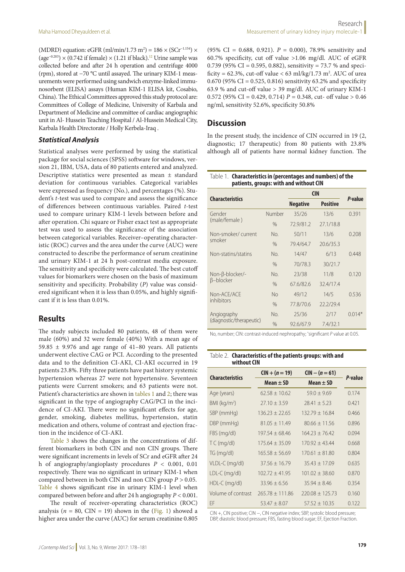(MDRD) equation: eGFR (ml/min/1.73 m<sup>2</sup>) = 186 × (SCr<sup>-1.154</sup>) × (age<sup>-0.203</sup>) × (0.742 if female) × (1.21 if black).<sup>12</sup> Urine sample was collected before and after 24 h operation and centrifuge 4000 (rpm), stored at −70 °C until assayed. The urinary KIM-1 measurements were performed using sandwich enzyme-linked immunosorbent (ELISA) assays (Human KIM-1 ELISA kit, Cosabio, China). The Ethical Committees approved this study protocol are: Committees of College of Medicine, University of Karbala and Department of Medicine and committee of cardiac angiographic unit in Al- Hussein Teaching Hospital / Al-Hussein Medical City, Karbala Health Directorate / Holly Kerbela-Iraq .

#### *Statistical Analysis*

Statistical analyses were performed by using the statistical package for social sciences (SPSS) software for windows, version 21, IBM, USA, data of 80 patients entered and analyzed. Descriptive statistics were presented as mean ± standard deviation for continuous variables. Categorical variables were expressed as frequency (No.), and percentages (%). Student's *t*-test was used to compare and assess the significance of differences between continuous variables. Paired *t*-test used to compare urinary KIM-1 levels between before and after operation. Chi square or Fisher exact test as appropriate test was used to assess the significance of the association between categorical variables. Receiver–operating characteristic (ROC) curves and the area under the curve (AUC) were constructed to describe the performance of serum creatinine and urinary KIM-1 at 24 h post-contrast media exposure. The sensitivity and specificity were calculated. The best cutoff values for biomarkers were chosen on the basis of maximum sensitivity and specificity. Probability (*P*) value was considered significant when it is less than 0.05%, and highly significant if it is less than 0.01%.

## **Results**

The study subjects included 80 patients, 48 of them were male (60%) and 32 were female (40%) With a mean age of 59.85  $\pm$  9.976 and age range of 41–80 years. All patients underwent elective CAG or PCI. According to the presented data and to the definition CI-AKI, CI-AKI occurred in 19 patients 23.8%. Fifty three patients have past history systemic hypertension whereas 27 were not hypertensive. Seventeen patients were Current smokers; and 63 patients were not. Patient's characteristics are shown in tables 1 and 2; there was significant in the type of angiography CAG/PCI in the incidence of CI-AKI. There were no significant effects for age, gender, smoking, diabetes mellitus, hypertension, statin medication and others, volume of contrast and ejection fraction in the incidence of CI-AKI.

Table 3 shows the changes in the concentrations of different biomarkers in both CIN and non CIN groups. There were significant increments in levels of SCr and eGFR after 24 h of angiography/angioplasty procedures *P <* 0.001, 0.01 respectively. There was no significant in urinary KIM-1 when compared between in both CIN and non CIN group *P >* 0.05. Table 4 shows significant rise in urinary KIM-1 level when compared between before and after 24 h angiography *P <* 0.001.

The result of receiver-operating characteristics (ROC) analysis ( $n = 80$ , CIN = 19) shown in the (Fig. 1) showed a higher area under the curve (AUC) for serum creatinine 0.805

(95% CI =  $0.688$ , 0.921).  $P = 0.000$ , 78.9% sensitivity and 60.7% specificity, cut off value >1.06 mg/dl. AUC of eGFR 0.739 (95% CI = 0.595, 0.882), sensitivity = 73.7 % and specificity =  $62.3\%$ , cut-off value <  $63 \text{ ml/kg}/1.73 \text{ m}^2$ . AUC of urea 0.670 (95% CI = 0.525, 0.816) sensitivity 63.2% and specificity 63.9 % and cut-off value > 39 mg/dl. AUC of urinary KIM-1 0.572 (95% CI = 0.429, 0.714) *P =* 0.348, cut- off value > 0.46 ng/ml, sensitivity 52.6%, specificity 50.8%

## **Discussion**

In the present study, the incidence of CIN occurred in 19 (2, diagnostic; 17 therapeutic) from 80 patients with 23.8% although all of patients have normal kidney function. The

Table 1. **Characteristics in (percentages and numbers) of the** 

| patients, groups: with and without CIN |               |                 |                 |          |  |
|----------------------------------------|---------------|-----------------|-----------------|----------|--|
|                                        |               | <b>CIN</b>      |                 |          |  |
| <b>Characteristics</b>                 |               | <b>Negative</b> | <b>Positive</b> | P-value  |  |
| Gender<br>(male/female)                | Number        | 35/26           | 13/6            | 0.391    |  |
|                                        | $\%$          | 72.9/81.2       | 27.1/18.8       |          |  |
| Non-smoker/current<br>smoker           | No.           | 50/11           | 13/6            | 0.208    |  |
|                                        | $\frac{0}{0}$ | 79.4/64.7       | 20.6/35.3       |          |  |
| Non-statins/statins                    | No.           | 14/47           | 6/13            | 0.448    |  |
|                                        | $\frac{0}{0}$ | 70/78.3         | 30/21.7         |          |  |
| Non-β-blocker/-<br><b>B-blocker</b>    | No.           | 23/38           | 11/8            | 0.120    |  |
|                                        | $\frac{0}{0}$ | 67.6/82.6       | 32.4/17.4       |          |  |
| Non-ACE/ACE<br>inhibitors              | <b>No</b>     | 49/12           | 14/5            | 0.536    |  |
|                                        | $\frac{0}{0}$ | 77.8/70.6       | 22.2/29.4       |          |  |
| Angiography                            | No.           | 25/36           | 2/17            | $0.014*$ |  |
| (diagnostic/therapeutic)               | $\%$          | 92.6/67.9       | 7.4/32.1        |          |  |

No, number; CIN: contrast-induced nephropathy; \* significant *P* value at 0.05.

#### Table 2. **Characteristics of the patients groups: with and without CIN**

| <b>Characteristics</b>     | $CIN + (n = 19)$   | $CIN - (n = 61)$  | P-value |
|----------------------------|--------------------|-------------------|---------|
|                            | $Mean + SD$        | $Mean + SD$       |         |
| Age (years)                | $62.58 + 10.62$    | $59.0 + 9.69$     | 0.174   |
| $BMI$ (kg/m <sup>2</sup> ) | $27.10 + 3.59$     | $78.41 + 5.23$    | 0.421   |
| SBP (mmHg)                 | $136.23 + 22.65$   | $132.79 + 16.84$  | 0.466   |
| DBP (mmHg)                 | $81.05 + 11.49$    | $80.66 + 11.56$   | 0.896   |
| FBS (mg/dl)                | $197.54 + 68.46$   | $164.23 + 76.42$  | 0.094   |
| $TC$ (mg/dl)               | $175.64 + 35.09$   | $170.92 + 43.44$  | 0.668   |
| $TG \, (mq/dl)$            | $165.58 \pm 56.69$ | $170.61 + 81.80$  | 0.804   |
| VLDL-C (mg/dl)             | $37.56 + 16.79$    | $35.43 \pm 17.09$ | 0.635   |
| LDL-C (mg/dl)              | $102.72 + 41.95$   | $101.02 + 38.60$  | 0.870   |
| $HDL-C$ (mg/dl)            | $33.96 + 6.56$     | $3594 + 846$      | 0.354   |
| Volume of contrast         | $265.78 + 111.86$  | $220.08 + 125.73$ | 0.160   |
| FF                         | $53.47 + 8.07$     | $57.52 + 10.35$   | 0.122   |

CIN +, CIN positive; CIN −, CIN negative index; SBP, systolic blood pressure; DBP, diastolic blood pressure; FBS, fasting blood sugar; EF, Ejection Fraction.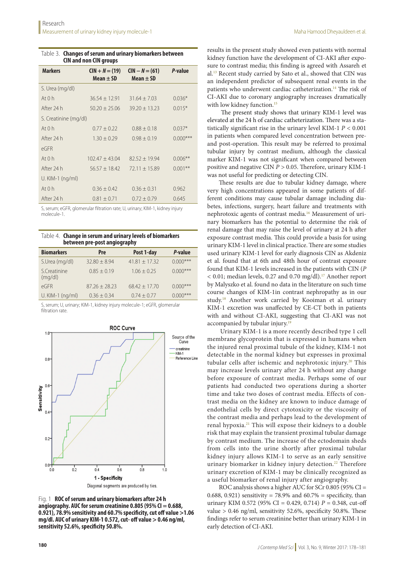| Table 3. Changes of serum and urinary biomarkers between |
|----------------------------------------------------------|
| <b>CIN and non CIN groups</b>                            |

| <b>Markers</b>        | $CIN + N = (19)$<br>Mean $\pm$ SD | $CIN - N = (61)$<br>Mean $\pm$ SD | P-value    |  |
|-----------------------|-----------------------------------|-----------------------------------|------------|--|
| S. Urea (mg/dl)       |                                   |                                   |            |  |
| At $0h$               | $36.54 \pm 12.91$                 | $31.64 + 7.03$                    | $0.036*$   |  |
| After 24 h            | $50.20 + 25.06$                   | $39.20 \pm 13.23$                 | $0.015*$   |  |
| S. Creatinine (mg/dl) |                                   |                                   |            |  |
| At $0h$               | $0.77 \pm 0.22$                   | $0.88 \pm 0.18$                   | $0.037*$   |  |
| After 24 h            | $1.30 \pm 0.29$                   | $0.98 + 0.19$                     | $0.000***$ |  |
| eGFR                  |                                   |                                   |            |  |
| At $0h$               | $102.47 \pm 43.04$                | $82.52 + 19.94$                   | $0.006**$  |  |
| After 24 h            | $56.57 \pm 18.42$                 | $72.11 \pm 15.89$                 | $0.001***$ |  |
| U. KIM-1 (ng/ml)      |                                   |                                   |            |  |
| At $0h$               | $0.36 \pm 0.42$                   | $0.36 \pm 0.31$                   | 0.962      |  |
| After 24 h            | $0.81 \pm 0.71$                   | $0.72 \pm 0.79$                   | 0.645      |  |

S, serum; eGFR, glomerular filtration rate; U, urinary; KIM-1, kidney injury molecule-1.

Table 4. **Change in serum and urinary levels of biomarkers between pre-post angiography**

| <b>Biomarkers</b>       | Pre              | Post 1-day      | P-value     |
|-------------------------|------------------|-----------------|-------------|
| S.Urea (mg/dl)          | $32.80 \pm 8.94$ | $41.81 + 17.32$ | $0.000***$  |
| S.Creatinine<br>(mq/dl) | $0.85 \pm 0.19$  | $1.06 \pm 0.25$ | $0.000***$  |
| eGFR                    | $87.26 + 28.23$  | $68.42 + 17.70$ | $0.000$ *** |
| U. KIM-1 (ng/ml)        | $0.36 + 0.34$    | $0.74 + 0.77$   | $0.000$ *** |

S, serum; U, urinary; KIM-1, kidney injury molecule-1; eGFR, glomerular filtration rate.



Fig. 1 **ROC of serum and urinary biomarkers after 24 h angiography. AUC for serum creatinine 0.805 (95% CI = 0.688, 0.921), 78.9% sensitivity and 60.7% specificity, cut off value >1.06 mg/dl. AUC of urinary KIM-1 0.572, cut- off value > 0.46 ng/ml, sensitivity 52.6%, specificity 50.8%.**

results in the present study showed even patients with normal kidney function have the development of CI-AKI after exposure to contrast media; this finding is agreed with Assareh et al.13 Recent study carried by Sato et al., showed that CIN was an independent predictor of subsequent renal events in the patients who underwent cardiac catheterization.<sup>14</sup> The risk of CI-AKI due to coronary angiography increases dramatically with low kidney function.<sup>15</sup>

 The present study shows that urinary KIM-1 level was elevated at the 24 h of cardiac catheterization. There was a statistically significant rise in the urinary level KIM-1 *P <* 0.001 in patients when compared level concentration between preand post-operation. This result may be referred to proximal tubular injury by contrast medium, although the classical marker KIM-1 was not significant when compared between positive and negative CIN *P >* 0.05. Therefore, urinary KIM-1 was not useful for predicting or detecting CIN.

These results are due to tubular kidney damage, where very high concentrations appeared in some patients of different conditions may cause tubular damage including diabetes, infections, surgery, heart failure and treatments with nephrotoxic agents of contrast media.16 Measurement of urinary biomarkers has the potential to determine the risk of renal damage that may raise the level of urinary at 24 h after exposure contrast media. This could provide a basis for using urinary KIM-1 level in clinical practice. There are some studies used urinary KIM-1 level for early diagnosis CIN as Akdeniz et al. found that at 6th and 48th hour of contrast exposure found that KIM-1 levels increased in the patients with CIN (*P <* 0.01; median levels, 0.27 and 0.70 mg/dl).17 Another report by Malyszko et al. found no data in the literature on such time course changes of KIM-1in contrast nephropathy as in our study.18 Another work carried by Kooiman et al. urinary KIM-1 excretion was unaffected by CE-CT both in patients with and without CI-AKI, suggesting that CI-AKI was not accompanied by tubular injury.<sup>19</sup>

Urinary KIM-1 is a more recently described type 1 cell membrane glycoprotein that is expressed in humans when the injured renal proximal tubule of the kidney, KIM-1 not detectable in the normal kidney but expresses in proximal tubular cells after ischemic and nephrotoxic injury.<sup>20</sup> This may increase levels urinary after 24 h without any change before exposure of contrast media. Perhaps some of our patients had conducted two operations during a shorter time and take two doses of contrast media. Effects of contrast media on the kidney are known to induce damage of endothelial cells by direct cytotoxicity or the viscosity of the contrast media and perhaps lead to the development of renal hypoxia.21 This will expose their kidneys to a double risk that may explain the transient proximal tubular damage by contrast medium. The increase of the ectodomain sheds from cells into the urine shortly after proximal tubular kidney injury allows KIM-1 to serve as an early sensitive urinary biomarker in kidney injury detection.<sup>22</sup> Therefore urinary excretion of KIM-1 may be clinically recognized as a useful biomarker of renal injury after angiography.

ROC analysis shows a higher AUC for SCr 0.805 (95% CI = 0.688, 0.921) sensitivity = 78.9% and 60.7% = specificity, than urinary KIM 0.572 (95% CI = 0.429, 0.714)  $P = 0.348$ , cut-off value  $> 0.46$  ng/ml, sensitivity 52.6%, specificity 50.8%. These findings refer to serum creatinine better than urinary KIM-1 in early detection of CI-AKI.